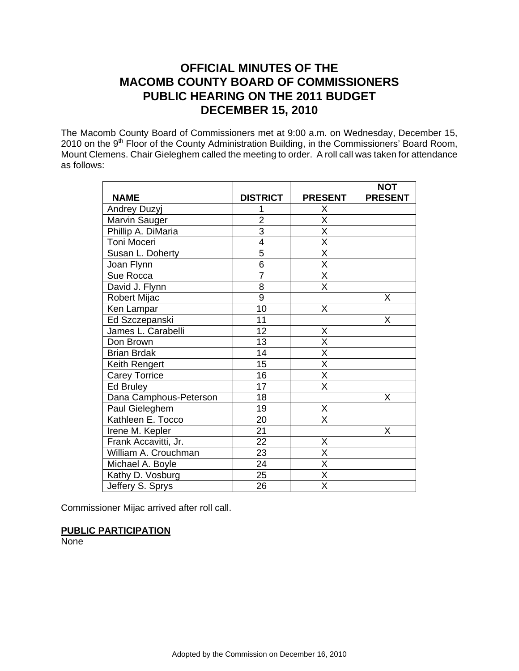# **OFFICIAL MINUTES OF THE MACOMB COUNTY BOARD OF COMMISSIONERS PUBLIC HEARING ON THE 2011 BUDGET DECEMBER 15, 2010**

The Macomb County Board of Commissioners met at 9:00 a.m. on Wednesday, December 15, 2010 on the 9<sup>th</sup> Floor of the County Administration Building, in the Commissioners' Board Room, Mount Clemens. Chair Gieleghem called the meeting to order. A roll call was taken for attendance as follows:

|                        |                 |                         | <b>NOT</b>     |
|------------------------|-----------------|-------------------------|----------------|
| <b>NAME</b>            | <b>DISTRICT</b> | <b>PRESENT</b>          | <b>PRESENT</b> |
| <b>Andrey Duzyj</b>    |                 | Χ                       |                |
| Marvin Sauger          | $\overline{2}$  | X                       |                |
| Phillip A. DiMaria     | $\overline{3}$  | $\overline{\mathsf{x}}$ |                |
| Toni Moceri            | $\overline{4}$  | $\overline{\mathsf{x}}$ |                |
| Susan L. Doherty       | $\overline{5}$  | $\overline{\mathsf{x}}$ |                |
| Joan Flynn             | $\overline{6}$  | $\overline{X}$          |                |
| Sue Rocca              | $\overline{7}$  | $\overline{\mathsf{x}}$ |                |
| David J. Flynn         | $\overline{8}$  | $\overline{\mathsf{x}}$ |                |
| Robert Mijac           | $\overline{9}$  |                         | X              |
| Ken Lampar             | 10              | X                       |                |
| Ed Szczepanski         | 11              |                         | X              |
| James L. Carabelli     | 12              | $\overline{X}$          |                |
| Don Brown              | 13              | $\overline{\mathsf{x}}$ |                |
| <b>Brian Brdak</b>     | 14              | $\overline{\mathsf{x}}$ |                |
| Keith Rengert          | 15              | $\overline{\mathsf{x}}$ |                |
| <b>Carey Torrice</b>   | 16              | $\overline{\mathsf{x}}$ |                |
| Ed Bruley              | 17              | $\overline{\mathsf{x}}$ |                |
| Dana Camphous-Peterson | 18              |                         | X              |
| Paul Gieleghem         | 19              | X                       |                |
| Kathleen E. Tocco      | 20              | $\overline{\mathsf{x}}$ |                |
| Irene M. Kepler        | $\overline{21}$ |                         | X              |
| Frank Accavitti, Jr.   | $\overline{2}2$ | X                       |                |
| William A. Crouchman   | 23              | $\overline{\mathsf{x}}$ |                |
| Michael A. Boyle       | 24              | $\overline{\mathsf{X}}$ |                |
| Kathy D. Vosburg       | 25              | $\overline{\mathsf{x}}$ |                |
| Jeffery S. Sprys       | 26              | $\overline{\mathsf{x}}$ |                |

Commissioner Mijac arrived after roll call.

#### **PUBLIC PARTICIPATION**

**None**